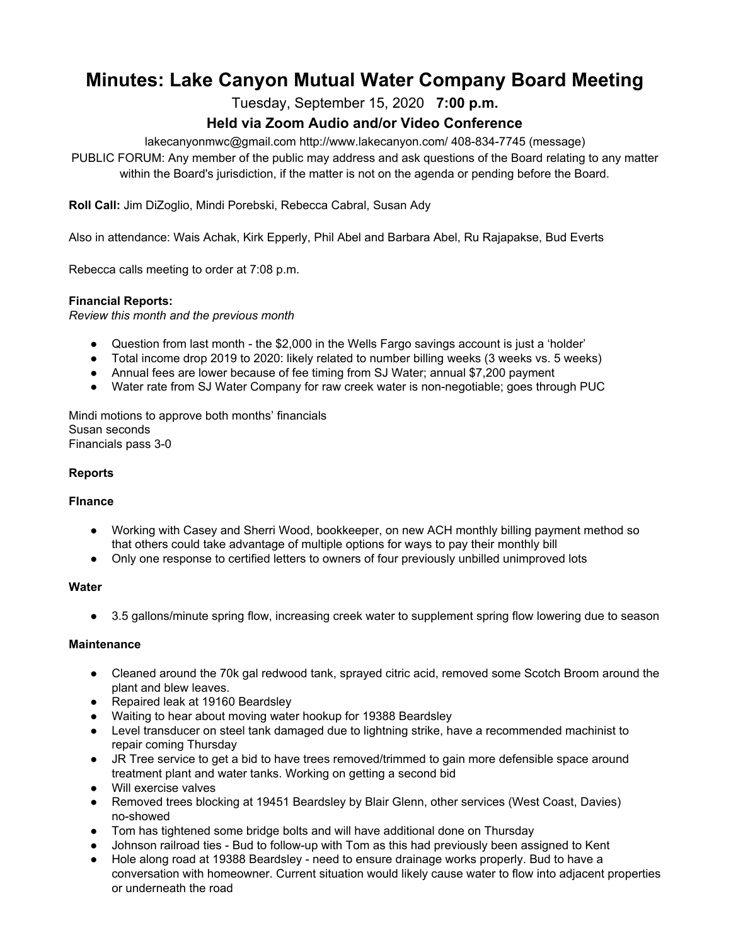# **Minutes: Lake Canyon Mutual Water Company Board Meeting**

Tuesday, September 15, 2020 **7:00 p.m.**

# **Held via Zoom Audio and/or Video Conference**

lakecanyonmwc@gmail.com http://www.lakecanyon.com/ 408-834-7745 (message)

PUBLIC FORUM: Any member of the public may address and ask questions of the Board relating to any matter within the Board's jurisdiction, if the matter is not on the agenda or pending before the Board.

**Roll Call:** Jim DiZoglio, Mindi Porebski, Rebecca Cabral, Susan Ady

Also in attendance: Wais Achak, Kirk Epperly, Phil Abel and Barbara Abel, Ru Rajapakse, Bud Everts

Rebecca calls meeting to order at 7:08 p.m.

## **Financial Reports:**

*Review this month and the previous month*

- Question from last month the \$2,000 in the Wells Fargo savings account is just a 'holder'
- Total income drop 2019 to 2020: likely related to number billing weeks (3 weeks vs. 5 weeks)
- Annual fees are lower because of fee timing from SJ Water; annual \$7,200 payment
- Water rate from SJ Water Company for raw creek water is non-negotiable; goes through PUC

Mindi motions to approve both months' financials Susan seconds Financials pass 3-0

# **Reports**

#### **FInance**

- Working with Casey and Sherri Wood, bookkeeper, on new ACH monthly billing payment method so that others could take advantage of multiple options for ways to pay their monthly bill
- Only one response to certified letters to owners of four previously unbilled unimproved lots

#### **Water**

• 3.5 gallons/minute spring flow, increasing creek water to supplement spring flow lowering due to season

#### **Maintenance**

- Cleaned around the 70k gal redwood tank, sprayed citric acid, removed some Scotch Broom around the plant and blew leaves.
- Repaired leak at 19160 Beardsley
- Waiting to hear about moving water hookup for 19388 Beardsley
- Level transducer on steel tank damaged due to lightning strike, have a recommended machinist to repair coming Thursday
- JR Tree service to get a bid to have trees removed/trimmed to gain more defensible space around treatment plant and water tanks. Working on getting a second bid
- Will exercise valves
- Removed trees blocking at 19451 Beardsley by Blair Glenn, other services (West Coast, Davies) no-showed
- Tom has tightened some bridge bolts and will have additional done on Thursday
- Johnson railroad ties Bud to follow-up with Tom as this had previously been assigned to Kent
- Hole along road at 19388 Beardsley need to ensure drainage works properly. Bud to have a conversation with homeowner. Current situation would likely cause water to flow into adjacent properties or underneath the road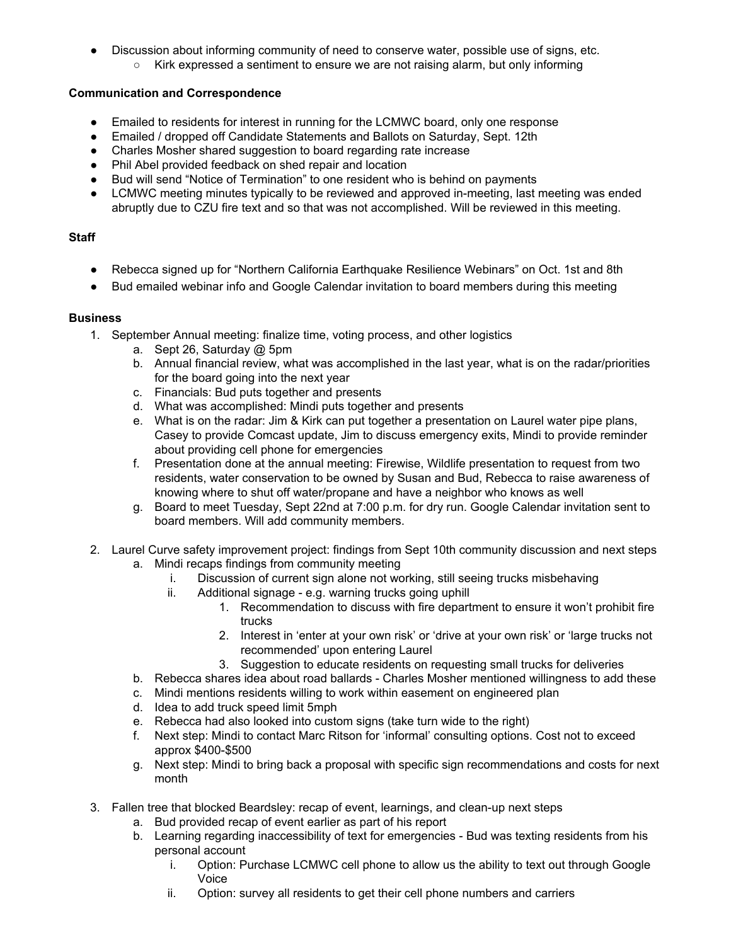- Discussion about informing community of need to conserve water, possible use of signs, etc.
	- Kirk expressed a sentiment to ensure we are not raising alarm, but only informing

#### **Communication and Correspondence**

- Emailed to residents for interest in running for the LCMWC board, only one response
- Emailed / dropped off Candidate Statements and Ballots on Saturday, Sept. 12th
- Charles Mosher shared suggestion to board regarding rate increase
- Phil Abel provided feedback on shed repair and location
- Bud will send "Notice of Termination" to one resident who is behind on payments
- LCMWC meeting minutes typically to be reviewed and approved in-meeting, last meeting was ended abruptly due to CZU fire text and so that was not accomplished. Will be reviewed in this meeting.

## **Staff**

- Rebecca signed up for "Northern California Earthquake Resilience Webinars" on Oct. 1st and 8th
- Bud emailed webinar info and Google Calendar invitation to board members during this meeting

## **Business**

- 1. September Annual meeting: finalize time, voting process, and other logistics
	- a. Sept 26, Saturday @ 5pm
	- b. Annual financial review, what was accomplished in the last year, what is on the radar/priorities for the board going into the next year
	- c. Financials: Bud puts together and presents
	- d. What was accomplished: Mindi puts together and presents
	- e. What is on the radar: Jim & Kirk can put together a presentation on Laurel water pipe plans, Casey to provide Comcast update, Jim to discuss emergency exits, Mindi to provide reminder about providing cell phone for emergencies
	- f. Presentation done at the annual meeting: Firewise, Wildlife presentation to request from two residents, water conservation to be owned by Susan and Bud, Rebecca to raise awareness of knowing where to shut off water/propane and have a neighbor who knows as well
	- g. Board to meet Tuesday, Sept 22nd at 7:00 p.m. for dry run. Google Calendar invitation sent to board members. Will add community members.
- 2. Laurel Curve safety improvement project: findings from Sept 10th community discussion and next steps
	- a. Mindi recaps findings from community meeting
		- i. Discussion of current sign alone not working, still seeing trucks misbehaving
		- ii. Additional signage e.g. warning trucks going uphill
			- 1. Recommendation to discuss with fire department to ensure it won't prohibit fire trucks
			- 2. Interest in 'enter at your own risk' or 'drive at your own risk' or 'large trucks not recommended' upon entering Laurel
			- 3. Suggestion to educate residents on requesting small trucks for deliveries
	- b. Rebecca shares idea about road ballards Charles Mosher mentioned willingness to add these
	- c. Mindi mentions residents willing to work within easement on engineered plan
	- d. Idea to add truck speed limit 5mph
	- e. Rebecca had also looked into custom signs (take turn wide to the right)
	- f. Next step: Mindi to contact Marc Ritson for 'informal' consulting options. Cost not to exceed approx \$400-\$500
	- g. Next step: Mindi to bring back a proposal with specific sign recommendations and costs for next month
- 3. Fallen tree that blocked Beardsley: recap of event, learnings, and clean-up next steps
	- a. Bud provided recap of event earlier as part of his report
	- b. Learning regarding inaccessibility of text for emergencies Bud was texting residents from his personal account
		- i. Option: Purchase LCMWC cell phone to allow us the ability to text out through Google Voice
		- ii. Option: survey all residents to get their cell phone numbers and carriers